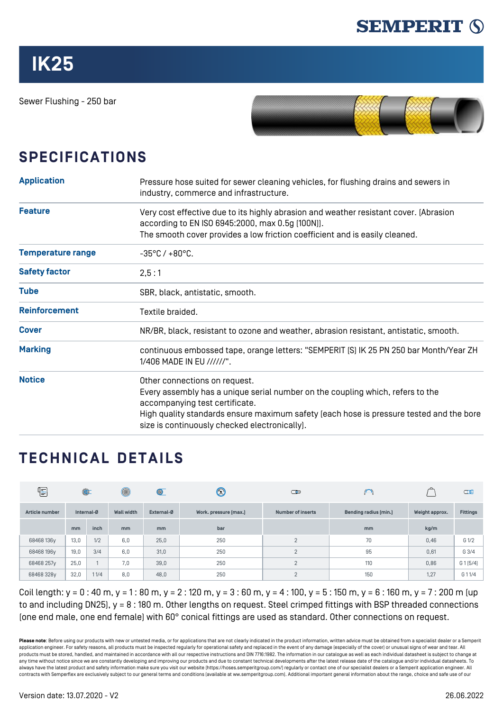

Sewer Flushing - 250 bar



## **SPECIFICATIONS**

| <b>Application</b>                                                                                                                                                                                                                          | Pressure hose suited for sewer cleaning vehicles, for flushing drains and sewers in<br>industry, commerce and infrastructure.                                                                                                                                                                 |  |  |  |  |
|---------------------------------------------------------------------------------------------------------------------------------------------------------------------------------------------------------------------------------------------|-----------------------------------------------------------------------------------------------------------------------------------------------------------------------------------------------------------------------------------------------------------------------------------------------|--|--|--|--|
| <b>Feature</b><br>Very cost effective due to its highly abrasion and weather resistant cover. [Abrasion]<br>according to EN ISO 6945:2000, max 0.5g [100N]].<br>The smooth cover provides a low friction coefficient and is easily cleaned. |                                                                                                                                                                                                                                                                                               |  |  |  |  |
| <b>Temperature range</b>                                                                                                                                                                                                                    | $-35^{\circ}$ C / $+80^{\circ}$ C.                                                                                                                                                                                                                                                            |  |  |  |  |
| <b>Safety factor</b>                                                                                                                                                                                                                        | 2,5:1                                                                                                                                                                                                                                                                                         |  |  |  |  |
| <b>Tube</b>                                                                                                                                                                                                                                 | SBR, black, antistatic, smooth.                                                                                                                                                                                                                                                               |  |  |  |  |
| <b>Reinforcement</b>                                                                                                                                                                                                                        | Textile braided.                                                                                                                                                                                                                                                                              |  |  |  |  |
| <b>Cover</b>                                                                                                                                                                                                                                | NR/BR, black, resistant to ozone and weather, abrasion resistant, antistatic, smooth.                                                                                                                                                                                                         |  |  |  |  |
| <b>Marking</b>                                                                                                                                                                                                                              | continuous embossed tape, orange letters: "SEMPERIT [S] IK 25 PN 250 bar Month/Year ZH<br>1/406 MADE IN EU //////".                                                                                                                                                                           |  |  |  |  |
| <b>Notice</b>                                                                                                                                                                                                                               | Other connections on request.<br>Every assembly has a unique serial number on the coupling which, refers to the<br>accompanying test certificate.<br>High quality standards ensure maximum safety (each hose is pressure tested and the bore<br>size is continuously checked electronically). |  |  |  |  |

## **TECHNICAL DETAILS**

| $\mathbb{E}$   | $\circledcirc$ |      | $^{\circledR}$    | $\circledcirc$ | $\odot$               | $\overline{\mathbf{C}}$  | $\bigcap$             |                | $\Box$          |
|----------------|----------------|------|-------------------|----------------|-----------------------|--------------------------|-----------------------|----------------|-----------------|
| Article number | Internal-Ø     |      | <b>Wall width</b> | External-Ø     | Work. pressure [max.] | <b>Number of inserts</b> | Bending radius [min.] | Weight approx. | <b>Fittings</b> |
|                | mm             | inch | m <sub>m</sub>    | m <sub>m</sub> | bar                   |                          | mm                    | kg/m           |                 |
| 68468 136y     | 13,0           | 1/2  | 6,0               | 25,0           | 250                   | $\overline{2}$           | 70                    | 0,46           | G 1/2           |
| 68468 196y     | 19,0           | 3/4  | 6,0               | 31,0           | 250                   | $\overline{2}$           | 95                    | 0,61           | G3/4            |
| 68468 257y     | 25,0           |      | 7,0               | 39,0           | 250                   | $\overline{2}$           | 110                   | 0,86           | G 1 [5/4]       |
| 68468328y      | 32,0           | 11/4 | 8,0               | 48,0           | 250                   | $\overline{2}$           | 150                   | 1,27           | G 1 1/4         |

Coil length: y = 0 : 40 m, y = 1 : 80 m, y = 2 : 120 m, y = 3 : 60 m, y = 4 : 100, y = 5 : 150 m, y = 6 : 160 m, y = 7 : 200 m [up to and including DN25), y = 8 : 180 m. Other lengths on request. Steel crimped fittings with BSP threaded connections (one end male, one end female) with 60° conical fittings are used as standard. Other connections on request.

Please note: Before using our products with new or untested media, or for applications that are not clearly indicated in the product information, written advice must be obtained from a specialist dealer or a Semperit application engineer. For safety reasons, all products must be inspected regularly for operational safety and replaced in the event of any damage (especially of the cover) or unusual signs of wear and tear. All products must be stored, handled, and maintained in accordance with all our respective instructions and DIN 7716:1982. The information in our catalogue as well as each individual datasheet is subject to change at any time without notice since we are constantly developing and improving our products and due to constant technical developments after the latest release date of the catalogue and/or individual datasheets. To always have the latest product and safety information make sure you visit our website ([https://hoses.semperitgroup.com/\)](https://hoses.semperitgroup.com/) regularly or contact one of our specialist dealers or a Semperit application engineer. All contracts with Semperflex are exclusively subject to our general terms and conditions (available at ww.semperitgroup.com). Additional important general information about the range, choice and safe use of our